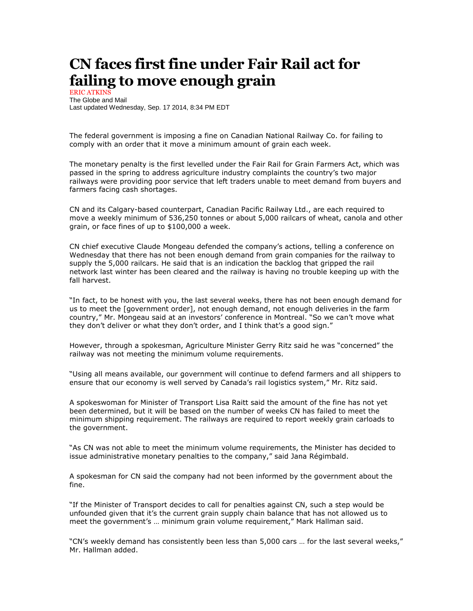## **CN faces first fine under Fair Rail act for failing to move enough grain**

ERIC ATKINS The Globe and Mail Last updated Wednesday, Sep. 17 2014, 8:34 PM EDT

The federal government is imposing a fine on Canadian National Railway Co. for failing to comply with an order that it move a minimum amount of grain each week.

The monetary penalty is the first levelled under the Fair Rail for Grain Farmers Act, which was passed in the spring to address agriculture industry complaints the country's two major railways were providing poor service that left traders unable to meet demand from buyers and farmers facing cash shortages.

CN and its Calgary-based counterpart, Canadian Pacific Railway Ltd., are each required to move a weekly minimum of 536,250 tonnes or about 5,000 railcars of wheat, canola and other grain, or face fines of up to \$100,000 a week.

CN chief executive Claude Mongeau defended the company's actions, telling a conference on Wednesday that there has not been enough demand from grain companies for the railway to supply the 5,000 railcars. He said that is an indication the backlog that gripped the rail network last winter has been cleared and the railway is having no trouble keeping up with the fall harvest.

"In fact, to be honest with you, the last several weeks, there has not been enough demand for us to meet the [government order], not enough demand, not enough deliveries in the farm country," Mr. Mongeau said at an investors' conference in Montreal. "So we can't move what they don't deliver or what they don't order, and I think that's a good sign."

However, through a spokesman, Agriculture Minister Gerry Ritz said he was "concerned" the railway was not meeting the minimum volume requirements.

"Using all means available, our government will continue to defend farmers and all shippers to ensure that our economy is well served by Canada's rail logistics system," Mr. Ritz said.

A spokeswoman for Minister of Transport Lisa Raitt said the amount of the fine has not yet been determined, but it will be based on the number of weeks CN has failed to meet the minimum shipping requirement. The railways are required to report weekly grain carloads to the government.

"As CN was not able to meet the minimum volume requirements, the Minister has decided to issue administrative monetary penalties to the company," said Jana Régimbald.

A spokesman for CN said the company had not been informed by the government about the fine.

"If the Minister of Transport decides to call for penalties against CN, such a step would be unfounded given that it's the current grain supply chain balance that has not allowed us to meet the government's … minimum grain volume requirement," Mark Hallman said.

"CN's weekly demand has consistently been less than 5,000 cars … for the last several weeks," Mr. Hallman added.